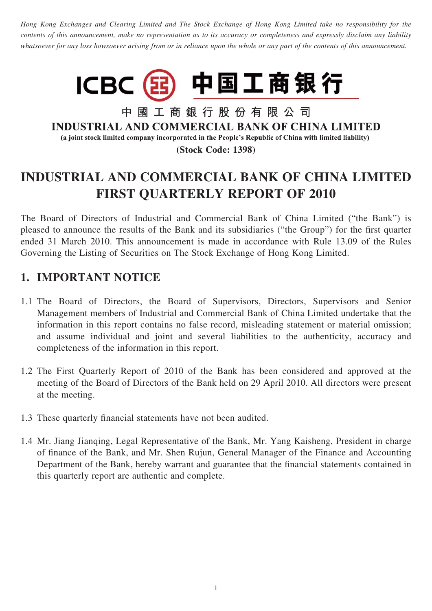*Hong Kong Exchanges and Clearing Limited and The Stock Exchange of Hong Kong Limited take no responsibility for the contents of this announcement, make no representation as to its accuracy or completeness and expressly disclaim any liability whatsoever for any loss howsoever arising from or in reliance upon the whole or any part of the contents of this announcement.*



中國工商銀行股份有限公司 **INDUSTRIAL AND COMMERCIAL BANK OF CHINA LIMITED** (a joint stock limited company incorporated in the People's Republic of China with limited liability) **(Stock Code: 1398)**

# **INDUSTRIAL AND COMMERCIAL BANK OF CHINA LIMITED FIRST QUARTERLY REPORT OF 2010**

The Board of Directors of Industrial and Commercial Bank of China Limited ("the Bank") is pleased to announce the results of the Bank and its subsidiaries ("the Group") for the first quarter ended 31 March 2010. This announcement is made in accordance with Rule 13.09 of the Rules Governing the Listing of Securities on The Stock Exchange of Hong Kong Limited.

## **1. IMPORTANT NOTICE**

- 1.1 The Board of Directors, the Board of Supervisors, Directors, Supervisors and Senior Management members of Industrial and Commercial Bank of China Limited undertake that the information in this report contains no false record, misleading statement or material omission; and assume individual and joint and several liabilities to the authenticity, accuracy and completeness of the information in this report.
- 1.2 The First Quarterly Report of 2010 of the Bank has been considered and approved at the meeting of the Board of Directors of the Bank held on 29 April 2010. All directors were present at the meeting.
- 1.3 These quarterly financial statements have not been audited.
- 1.4 Mr. Jiang Jianqing, Legal Representative of the Bank, Mr. Yang Kaisheng, President in charge of finance of the Bank, and Mr. Shen Rujun, General Manager of the Finance and Accounting Department of the Bank, hereby warrant and guarantee that the financial statements contained in this quarterly report are authentic and complete.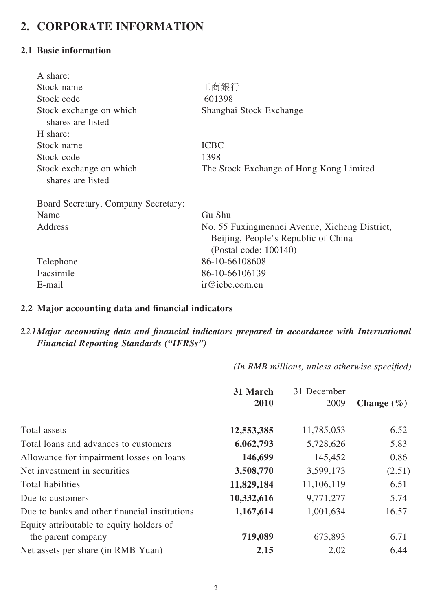## **2. CORPORATE INFORMATION**

#### **2.1 Basic information**

| A share:                                     |                                                                                                               |
|----------------------------------------------|---------------------------------------------------------------------------------------------------------------|
| Stock name                                   | 工商銀行                                                                                                          |
| Stock code                                   | 601398                                                                                                        |
| Stock exchange on which<br>shares are listed | Shanghai Stock Exchange                                                                                       |
| H share:                                     |                                                                                                               |
| Stock name                                   | <b>ICBC</b>                                                                                                   |
| Stock code                                   | 1398                                                                                                          |
| Stock exchange on which<br>shares are listed | The Stock Exchange of Hong Kong Limited                                                                       |
| Board Secretary, Company Secretary:          |                                                                                                               |
| Name                                         | Gu Shu                                                                                                        |
| Address                                      | No. 55 Fuxingmennei Avenue, Xicheng District,<br>Beijing, People's Republic of China<br>(Postal code: 100140) |
| Telephone                                    | 86-10-66108608                                                                                                |
| Facsimile                                    | 86-10-66106139                                                                                                |
| E-mail                                       | ir@icbc.com cn                                                                                                |

#### 2.2 Major accounting data and financial indicators

#### 2.2.1 Major accounting data and financial indicators prepared in accordance with International *Financial Reporting Standards ("IFRSs")*

*(In RMB millions, unless otherwise specified)* 

|                                               | 31 March<br>2010 | 31 December<br>2009 | Change $(\% )$ |
|-----------------------------------------------|------------------|---------------------|----------------|
| Total assets                                  | 12,553,385       | 11,785,053          | 6.52           |
| Total loans and advances to customers         | 6,062,793        | 5,728,626           | 5.83           |
| Allowance for impairment losses on loans      | 146,699          | 145,452             | 0.86           |
| Net investment in securities                  | 3,508,770        | 3,599,173           | (2.51)         |
| <b>Total liabilities</b>                      | 11,829,184       | 11,106,119          | 6.51           |
| Due to customers                              | 10,332,616       | 9,771,277           | 5.74           |
| Due to banks and other financial institutions | 1,167,614        | 1,001,634           | 16.57          |
| Equity attributable to equity holders of      |                  |                     |                |
| the parent company                            | 719,089          | 673,893             | 6.71           |
| Net assets per share (in RMB Yuan)            | 2.15             | 2.02                | 6.44           |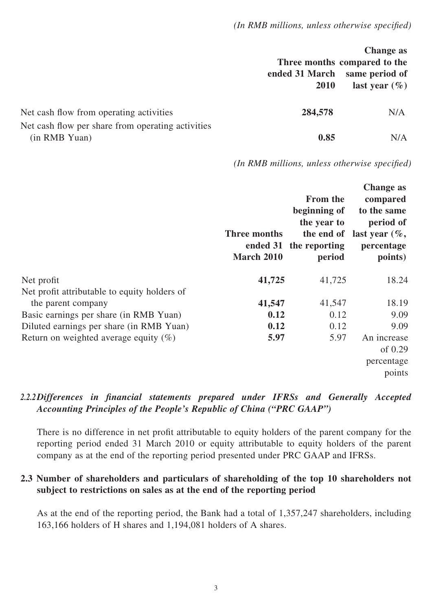|                                                                    | ended 31 March<br>2010 | <b>Change as</b><br>Three months compared to the<br>same period of<br>last year $(\% )$ |
|--------------------------------------------------------------------|------------------------|-----------------------------------------------------------------------------------------|
| Net cash flow from operating activities                            | 284,578                | N/A                                                                                     |
| Net cash flow per share from operating activities<br>(in RMB Yuan) | 0.85                   | N/A                                                                                     |

*(In RMB millions, unless otherwise specified)* 

|                                              | Three months<br>ended 31<br><b>March 2010</b> | <b>From the</b><br>beginning of<br>the year to<br>the reporting<br>period | <b>Change as</b><br>compared<br>to the same<br>period of<br>the end of last year $(\%$ ,<br>percentage<br>points) |
|----------------------------------------------|-----------------------------------------------|---------------------------------------------------------------------------|-------------------------------------------------------------------------------------------------------------------|
| Net profit                                   | 41,725                                        | 41,725                                                                    | 18.24                                                                                                             |
| Net profit attributable to equity holders of |                                               |                                                                           |                                                                                                                   |
| the parent company                           | 41,547                                        | 41,547                                                                    | 18.19                                                                                                             |
| Basic earnings per share (in RMB Yuan)       | 0.12                                          | 0.12                                                                      | 9.09                                                                                                              |
| Diluted earnings per share (in RMB Yuan)     | 0.12                                          | 0.12                                                                      | 9.09                                                                                                              |
| Return on weighted average equity $(\%)$     | 5.97                                          | 5.97                                                                      | An increase                                                                                                       |
|                                              |                                               |                                                                           | of $0.29$                                                                                                         |
|                                              |                                               |                                                                           | percentage                                                                                                        |
|                                              |                                               |                                                                           | points                                                                                                            |

#### 2.2.2 Differences in financial statements prepared under IFRSs and Generally Accepted *Accounting Principles of the People's Republic of China ("PRC GAAP")*

There is no difference in net profit attributable to equity holders of the parent company for the reporting period ended 31 March 2010 or equity attributable to equity holders of the parent company as at the end of the reporting period presented under PRC GAAP and IFRSs.

#### **2.3 Number of shareholders and particulars of shareholding of the top 10 shareholders not subject to restrictions on sales as at the end of the reporting period**

As at the end of the reporting period, the Bank had a total of 1,357,247 shareholders, including 163,166 holders of H shares and 1,194,081 holders of A shares.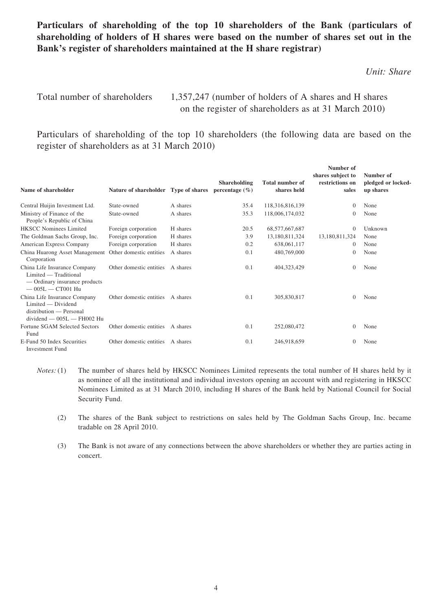#### **Particulars of shareholding of the top 10 shareholders of the Bank (particulars of shareholding of holders of H shares were based on the number of shares set out in the Bank's register of shareholders maintained at the H share registrar)**

*Unit: Share*

Total number of shareholders 1,357,247 (number of holders of A shares and H shares on the register of shareholders as at 31 March 2010)

Particulars of shareholding of the top 10 shareholders (the following data are based on the register of shareholders as at 31 March 2010)

| Name of shareholder                                                                                           | Nature of shareholder Type of shares |          | Shareholding<br>percentage $(\% )$ | <b>Total number of</b><br>shares held | Number of<br>shares subject to<br>restrictions on<br>sales | Number of<br>pledged or locked-<br>up shares |
|---------------------------------------------------------------------------------------------------------------|--------------------------------------|----------|------------------------------------|---------------------------------------|------------------------------------------------------------|----------------------------------------------|
| Central Huijin Investment Ltd.                                                                                | State-owned                          | A shares | 35.4                               | 118,316,816,139                       | $\Omega$                                                   | None                                         |
| Ministry of Finance of the<br>People's Republic of China                                                      | State-owned                          | A shares | 35.3                               | 118,006,174,032                       | $\Omega$                                                   | None                                         |
| <b>HKSCC Nominees Limited</b>                                                                                 | Foreign corporation                  | H shares | 20.5                               | 68, 577, 667, 687                     | $\Omega$                                                   | Unknown                                      |
| The Goldman Sachs Group, Inc.                                                                                 | Foreign corporation                  | H shares | 3.9                                | 13,180,811,324                        | 13,180,811,324                                             | None                                         |
| American Express Company                                                                                      | Foreign corporation                  | H shares | 0.2                                | 638,061,117                           | $\Omega$                                                   | None                                         |
| China Huarong Asset Management<br>Corporation                                                                 | Other domestic entities              | A shares | 0.1                                | 480,769,000                           | $\Omega$                                                   | None                                         |
| China Life Insurance Company<br>Limited — Traditional<br>— Ordinary insurance products<br>$-005L - CTO01$ Hu  | Other domestic entities              | A shares | 0.1                                | 404,323,429                           | $\theta$                                                   | None                                         |
| China Life Insurance Company<br>Limited — Dividend<br>distribution — Personal<br>$dividend - 005L - FH002 Hu$ | Other domestic entities              | A shares | 0.1                                | 305,830,817                           | $\Omega$                                                   | None                                         |
| Fortune SGAM Selected Sectors<br>Fund                                                                         | Other domestic entities              | A shares | 0.1                                | 252,080,472                           | $\Omega$                                                   | None                                         |
| E-Fund 50 Index Securities<br><b>Investment Fund</b>                                                          | Other domestic entities              | A shares | 0.1                                | 246,918,659                           | $\theta$                                                   | None                                         |

- *Notes:* (1) The number of shares held by HKSCC Nominees Limited represents the total number of H shares held by it as nominee of all the institutional and individual investors opening an account with and registering in HKSCC Nominees Limited as at 31 March 2010, including H shares of the Bank held by National Council for Social Security Fund.
	- (2) The shares of the Bank subject to restrictions on sales held by The Goldman Sachs Group, Inc. became tradable on 28 April 2010.
	- (3) The Bank is not aware of any connections between the above shareholders or whether they are parties acting in concert.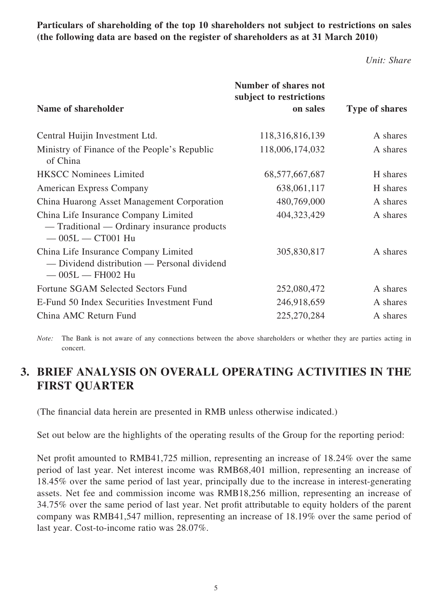**Particulars of shareholding of the top 10 shareholders not subject to restrictions on sales (the following data are based on the register of shareholders as at 31 March 2010)**

*Unit: Share*

|                                                                                                             | Number of shares not<br>subject to restrictions |                       |
|-------------------------------------------------------------------------------------------------------------|-------------------------------------------------|-----------------------|
| Name of shareholder                                                                                         | on sales                                        | <b>Type of shares</b> |
| Central Huijin Investment Ltd.                                                                              | 118,316,816,139                                 | A shares              |
| Ministry of Finance of the People's Republic<br>of China                                                    | 118,006,174,032                                 | A shares              |
| <b>HKSCC Nominees Limited</b>                                                                               | 68, 577, 667, 687                               | H shares              |
| <b>American Express Company</b>                                                                             | 638,061,117                                     | H shares              |
| China Huarong Asset Management Corporation                                                                  | 480,769,000                                     | A shares              |
| China Life Insurance Company Limited<br>— Traditional — Ordinary insurance products<br>$-005L - C T 001$ Hu | 404,323,429                                     | A shares              |
| China Life Insurance Company Limited<br>- Dividend distribution - Personal dividend<br>$-005L - FH002 Hu$   | 305,830,817                                     | A shares              |
| Fortune SGAM Selected Sectors Fund                                                                          | 252,080,472                                     | A shares              |
| E-Fund 50 Index Securities Investment Fund                                                                  | 246,918,659                                     | A shares              |
| China AMC Return Fund                                                                                       | 225,270,284                                     | A shares              |

*Note:* The Bank is not aware of any connections between the above shareholders or whether they are parties acting in concert.

## **3. BRIEF ANALYSIS ON OVERALL OPERATING ACTIVITIES IN THE FIRST QUARTER**

(The financial data herein are presented in RMB unless otherwise indicated.)

Set out below are the highlights of the operating results of the Group for the reporting period:

Net profit amounted to RMB41,725 million, representing an increase of 18.24% over the same period of last year. Net interest income was RMB68,401 million, representing an increase of 18.45% over the same period of last year, principally due to the increase in interest-generating assets. Net fee and commission income was RMB18,256 million, representing an increase of 34.75% over the same period of last year. Net profit attributable to equity holders of the parent company was RMB41,547 million, representing an increase of 18.19% over the same period of last year. Cost-to-income ratio was 28.07%.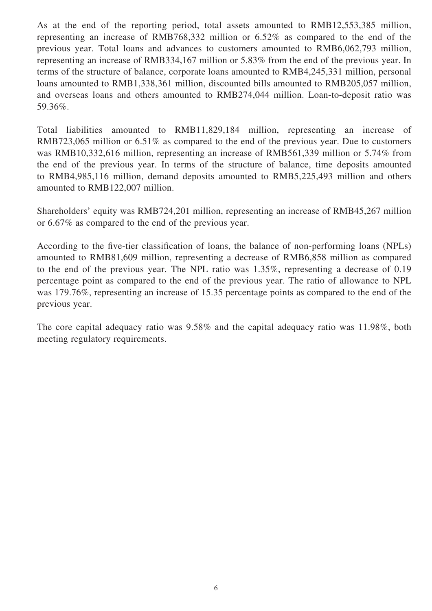As at the end of the reporting period, total assets amounted to RMB12,553,385 million, representing an increase of RMB768,332 million or 6.52% as compared to the end of the previous year. Total loans and advances to customers amounted to RMB6,062,793 million, representing an increase of RMB334,167 million or 5.83% from the end of the previous year. In terms of the structure of balance, corporate loans amounted to RMB4,245,331 million, personal loans amounted to RMB1,338,361 million, discounted bills amounted to RMB205,057 million, and overseas loans and others amounted to RMB274,044 million. Loan-to-deposit ratio was 59.36%.

Total liabilities amounted to RMB11,829,184 million, representing an increase of RMB723,065 million or 6.51% as compared to the end of the previous year. Due to customers was RMB10,332,616 million, representing an increase of RMB561,339 million or 5.74% from the end of the previous year. In terms of the structure of balance, time deposits amounted to RMB4,985,116 million, demand deposits amounted to RMB5,225,493 million and others amounted to RMB122,007 million.

Shareholders' equity was RMB724,201 million, representing an increase of RMB45,267 million or 6.67% as compared to the end of the previous year.

According to the five-tier classification of loans, the balance of non-performing loans (NPLs) amounted to RMB81,609 million, representing a decrease of RMB6,858 million as compared to the end of the previous year. The NPL ratio was 1.35%, representing a decrease of 0.19 percentage point as compared to the end of the previous year. The ratio of allowance to NPL was 179.76%, representing an increase of 15.35 percentage points as compared to the end of the previous year.

The core capital adequacy ratio was 9.58% and the capital adequacy ratio was 11.98%, both meeting regulatory requirements.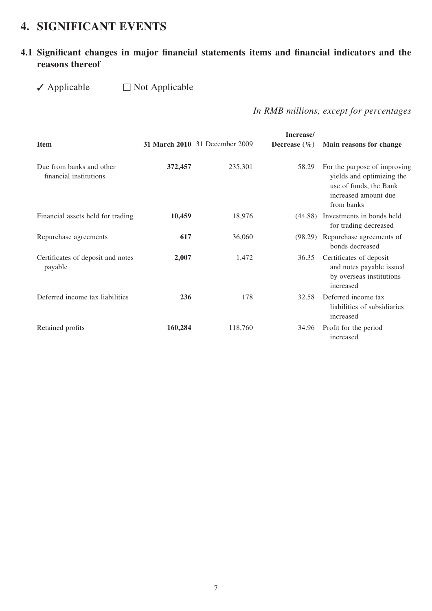## **4. SIGNIFICANT EVENTS**

### 4.1 Significant changes in major financial statements items and financial indicators and the **reasons thereof**

#### $\blacktriangledown$  Applicable  $\Box$  Not Applicable

 *In RMB millions, except for percentages*

| <b>Item</b>                                        |         | <b>31 March 2010</b> 31 December 2009 | Increase/<br>Decrease $(\% )$ | Main reasons for change                                                                                                   |
|----------------------------------------------------|---------|---------------------------------------|-------------------------------|---------------------------------------------------------------------------------------------------------------------------|
| Due from banks and other<br>financial institutions | 372,457 | 235,301                               | 58.29                         | For the purpose of improving<br>yields and optimizing the<br>use of funds, the Bank<br>increased amount due<br>from banks |
| Financial assets held for trading                  | 10,459  | 18,976                                | (44.88)                       | Investments in bonds held<br>for trading decreased                                                                        |
| Repurchase agreements                              | 617     | 36,060                                | (98.29)                       | Repurchase agreements of<br>bonds decreased                                                                               |
| Certificates of deposit and notes<br>payable       | 2,007   | 1,472                                 | 36.35                         | Certificates of deposit<br>and notes payable issued<br>by overseas institutions<br>increased                              |
| Deferred income tax liabilities                    | 236     | 178                                   | 32.58                         | Deferred income tax<br>liabilities of subsidiaries<br>increased                                                           |
| Retained profits                                   | 160,284 | 118,760                               | 34.96                         | Profit for the period<br>increased                                                                                        |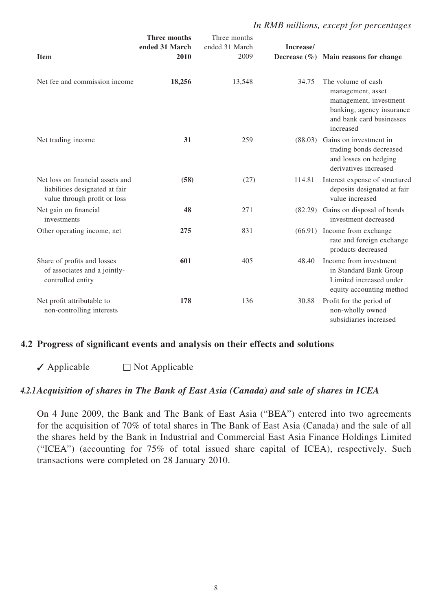#### *In RMB millions, except for percentages*

| <b>Item</b>                                                                                        | <b>Three months</b><br>ended 31 March<br>2010 | Three months<br>ended 31 March<br>2009 | Increase/<br>Decrease $(\% )$ | Main reasons for change                                                                                                                 |
|----------------------------------------------------------------------------------------------------|-----------------------------------------------|----------------------------------------|-------------------------------|-----------------------------------------------------------------------------------------------------------------------------------------|
| Net fee and commission income                                                                      | 18,256                                        | 13,548                                 | 34.75                         | The volume of cash<br>management, asset<br>management, investment<br>banking, agency insurance<br>and bank card businesses<br>increased |
| Net trading income                                                                                 | 31                                            | 259                                    |                               | (88.03) Gains on investment in<br>trading bonds decreased<br>and losses on hedging<br>derivatives increased                             |
| Net loss on financial assets and<br>liabilities designated at fair<br>value through profit or loss | (58)                                          | (27)                                   | 114.81                        | Interest expense of structured<br>deposits designated at fair<br>value increased                                                        |
| Net gain on financial<br>investments                                                               | 48                                            | 271                                    |                               | (82.29) Gains on disposal of bonds<br>investment decreased                                                                              |
| Other operating income, net                                                                        | 275                                           | 831                                    |                               | (66.91) Income from exchange<br>rate and foreign exchange<br>products decreased                                                         |
| Share of profits and losses<br>of associates and a jointly-<br>controlled entity                   | 601                                           | 405                                    | 48.40                         | Income from investment<br>in Standard Bank Group<br>Limited increased under<br>equity accounting method                                 |
| Net profit attributable to<br>non-controlling interests                                            | 178                                           | 136                                    | 30.88                         | Profit for the period of<br>non-wholly owned<br>subsidiaries increased                                                                  |

#### **4.2 Progress of significant events and analysis on their effects and solutions**

 $\sqrt{\phantom{a}}$  Applicable  $\Box$  Not Applicable

#### *4.2.1Acquisition of shares in The Bank of East Asia (Canada) and sale of shares in ICEA*

On 4 June 2009, the Bank and The Bank of East Asia ("BEA") entered into two agreements for the acquisition of 70% of total shares in The Bank of East Asia (Canada) and the sale of all the shares held by the Bank in Industrial and Commercial East Asia Finance Holdings Limited ("ICEA") (accounting for 75% of total issued share capital of ICEA), respectively. Such transactions were completed on 28 January 2010.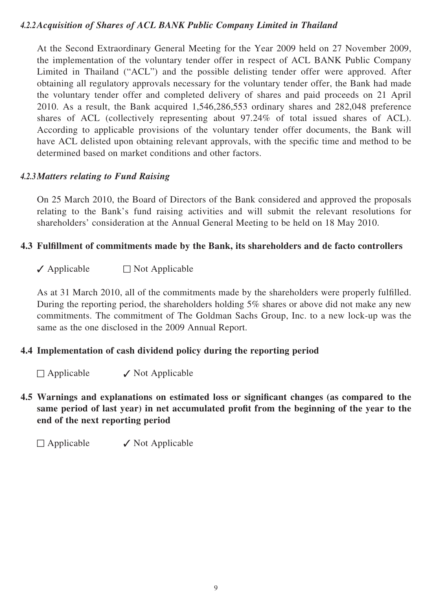#### *4.2.2Acquisition of Shares of ACL BANK Public Company Limited in Thailand*

At the Second Extraordinary General Meeting for the Year 2009 held on 27 November 2009, the implementation of the voluntary tender offer in respect of ACL BANK Public Company Limited in Thailand ("ACL") and the possible delisting tender offer were approved. After obtaining all regulatory approvals necessary for the voluntary tender offer, the Bank had made the voluntary tender offer and completed delivery of shares and paid proceeds on 21 April 2010. As a result, the Bank acquired 1,546,286,553 ordinary shares and 282,048 preference shares of ACL (collectively representing about 97.24% of total issued shares of ACL). According to applicable provisions of the voluntary tender offer documents, the Bank will have ACL delisted upon obtaining relevant approvals, with the specific time and method to be determined based on market conditions and other factors.

#### *4.2.3Matters relating to Fund Raising*

On 25 March 2010, the Board of Directors of the Bank considered and approved the proposals relating to the Bank's fund raising activities and will submit the relevant resolutions for shareholders' consideration at the Annual General Meeting to be held on 18 May 2010.

#### **4.3 Fulfillment of commitments made by the Bank, its shareholders and de facto controllers**

 $\sqrt{\phantom{a}}$  Applicable  $\Box$  Not Applicable

As at 31 March 2010, all of the commitments made by the shareholders were properly fulfilled. During the reporting period, the shareholders holding 5% shares or above did not make any new commitments. The commitment of The Goldman Sachs Group, Inc. to a new lock-up was the same as the one disclosed in the 2009 Annual Report.

#### **4.4 Implementation of cash dividend policy during the reporting period**

 $\Box$  Applicable  $\Box$  Not Applicable

4.5 Warnings and explanations on estimated loss or significant changes (as compared to the same period of last year) in net accumulated profit from the beginning of the year to the **end of the next reporting period** 

 $\Box$  Applicable  $\checkmark$  Not Applicable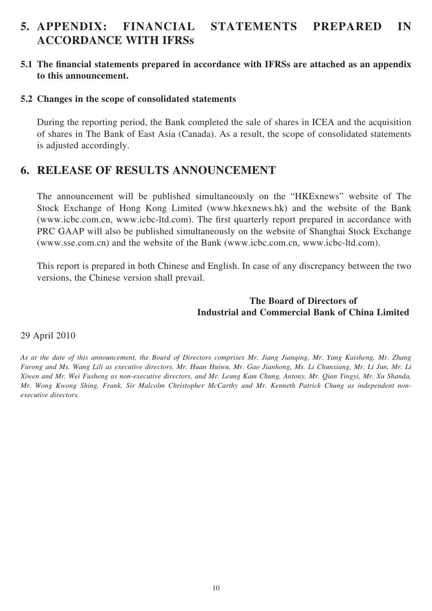## **5. APPENDIX: FINANCIAL STATEMENTS PREPARED IN ACCORDANCE WITH IFRSs**

#### **5.1** The financial statements prepared in accordance with IFRSs are attached as an appendix **to this announcement.**

#### **5.2 Changes in the scope of consolidated statements**

During the reporting period, the Bank completed the sale of shares in ICEA and the acquisition of shares in The Bank of East Asia (Canada). As a result, the scope of consolidated statements is adjusted accordingly.

### **6. RELEASE OF RESULTS ANNOUNCEMENT**

The announcement will be published simultaneously on the "HKExnews" website of The Stock Exchange of Hong Kong Limited (www.hkexnews.hk) and the website of the Bank (www.icbc.com.cn, www.icbc-ltd.com). The first quarterly report prepared in accordance with PRC GAAP will also be published simultaneously on the website of Shanghai Stock Exchange (www.sse.com.cn) and the website of the Bank (www.icbc.com.cn, www.icbc-ltd.com).

This report is prepared in both Chinese and English. In case of any discrepancy between the two versions, the Chinese version shall prevail.

#### **The Board of Directors of Industrial and Commercial Bank of China Limited**

#### 29 April 2010

*As at the date of this announcement, the Board of Directors comprises Mr. Jiang Jianqing, Mr. Yang Kaisheng, Mr. Zhang Furong and Ms. Wang Lili as executive directors, Mr. Huan Huiwu, Mr. Gao Jianhong, Ms. Li Chunxiang, Mr. Li Jun, Mr. Li Xiwen and Mr. Wei Fusheng as non-executive directors, and Mr. Leung Kam Chung, Antony, Mr. Qian Yingyi, Mr. Xu Shanda, Mr. Wong Kwong Shing, Frank, Sir Malcolm Christopher McCarthy and Mr. Kenneth Patrick Chung as independent nonexecutive directors.*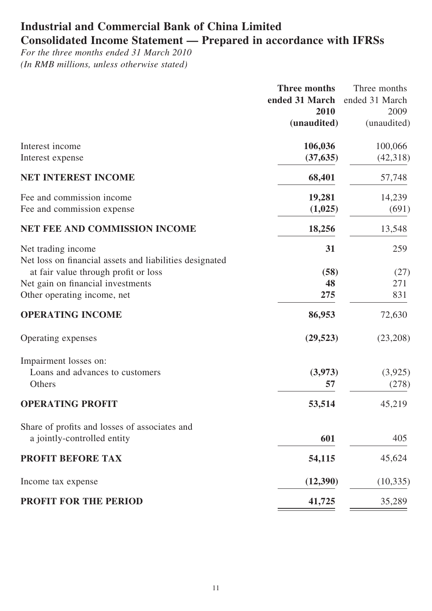## **Industrial and Commercial Bank of China Limited Consolidated Income Statement — Prepared in accordance with IFRSs**

*For the three months ended 31 March 2010 (In RMB millions, unless otherwise stated)* 

|                                                                               | <b>Three months</b> | Three months   |
|-------------------------------------------------------------------------------|---------------------|----------------|
|                                                                               | ended 31 March      | ended 31 March |
|                                                                               | 2010                | 2009           |
|                                                                               | (unaudited)         | (unaudited)    |
| Interest income                                                               | 106,036             | 100,066        |
| Interest expense                                                              | (37, 635)           | (42,318)       |
| NET INTEREST INCOME                                                           | 68,401              | 57,748         |
| Fee and commission income                                                     | 19,281              | 14,239         |
| Fee and commission expense                                                    | (1,025)             | (691)          |
| <b>NET FEE AND COMMISSION INCOME</b>                                          | 18,256              | 13,548         |
| Net trading income<br>Net loss on financial assets and liabilities designated | 31                  | 259            |
| at fair value through profit or loss                                          | (58)                | (27)           |
| Net gain on financial investments                                             | 48                  | 271            |
| Other operating income, net                                                   | 275                 | 831            |
| <b>OPERATING INCOME</b>                                                       | 86,953              | 72,630         |
| Operating expenses                                                            | (29, 523)           | (23,208)       |
| Impairment losses on:                                                         |                     |                |
| Loans and advances to customers                                               | (3,973)             | (3,925)        |
| Others                                                                        | 57                  | (278)          |
| <b>OPERATING PROFIT</b>                                                       | 53,514              | 45,219         |
| Share of profits and losses of associates and                                 |                     |                |
| a jointly-controlled entity                                                   | 601                 | 405            |
| <b>PROFIT BEFORE TAX</b>                                                      | 54,115              | 45,624         |
| Income tax expense                                                            | (12,390)            | (10, 335)      |
| <b>PROFIT FOR THE PERIOD</b>                                                  | 41,725              | 35,289         |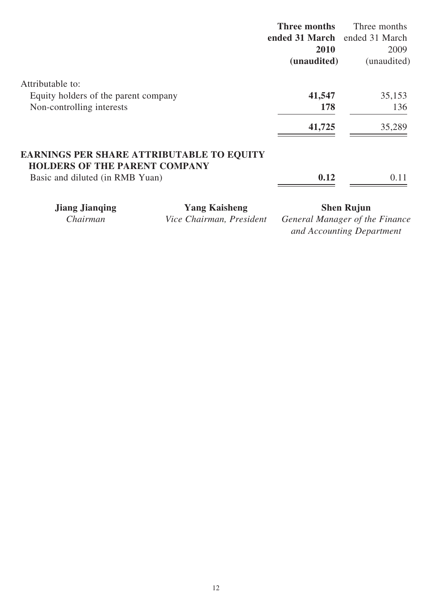|                                                                                          | Three months                  | Three months |
|------------------------------------------------------------------------------------------|-------------------------------|--------------|
|                                                                                          | ended 31 March ended 31 March |              |
|                                                                                          | 2010                          | 2009         |
|                                                                                          | (unaudited)                   | (unaudited)  |
| Attributable to:                                                                         |                               |              |
| Equity holders of the parent company                                                     | 41,547                        | 35,153       |
| Non-controlling interests                                                                | 178                           | 136          |
|                                                                                          | 41,725                        | 35,289       |
| <b>EARNINGS PER SHARE ATTRIBUTABLE TO EQUITY</b><br><b>HOLDERS OF THE PARENT COMPANY</b> |                               |              |
| Basic and diluted (in RMB Yuan)                                                          | 0.12                          | 0.11         |
|                                                                                          |                               |              |

**Jiang Jianqing Manushing Shen Rujun**<br>Chairman Vice Chairman, President General Manager of the *Ceneral Manager of the Finance and Accounting Department*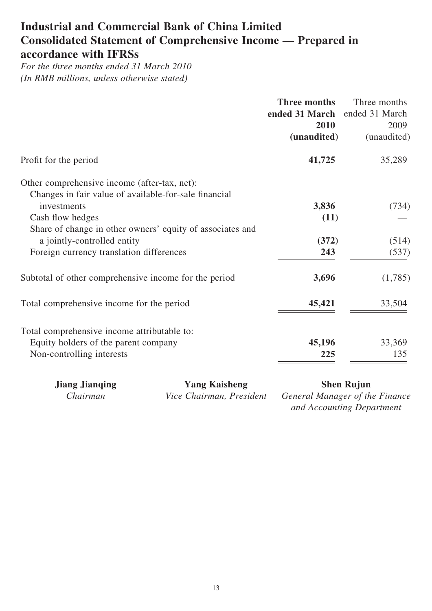## **Industrial and Commercial Bank of China Limited Consolidated Statement of Comprehensive Income — Prepared in accordance with IFRSs**

*For the three months ended 31 March 2010 (In RMB millions, unless otherwise stated)* 

|                                                                                                                                          | <b>Three months</b><br>ended 31 March<br>2010<br>(unaudited) | Three months<br>ended 31 March<br>2009<br>(unaudited) |
|------------------------------------------------------------------------------------------------------------------------------------------|--------------------------------------------------------------|-------------------------------------------------------|
| Profit for the period                                                                                                                    | 41,725                                                       | 35,289                                                |
| Other comprehensive income (after-tax, net):<br>Changes in fair value of available-for-sale financial<br>investments<br>Cash flow hedges | 3,836<br>(11)                                                | (734)                                                 |
| Share of change in other owners' equity of associates and<br>a jointly-controlled entity<br>Foreign currency translation differences     | (372)<br>243                                                 | (514)<br>(537)                                        |
| Subtotal of other comprehensive income for the period                                                                                    | 3,696                                                        | (1,785)                                               |
| Total comprehensive income for the period                                                                                                | 45,421                                                       | 33,504                                                |
| Total comprehensive income attributable to:<br>Equity holders of the parent company<br>Non-controlling interests                         | 45,196<br>225                                                | 33,369<br>135                                         |

**Jiang Jianqing Mang Kaisheng Shen Rujun**<br>Chairman Vice Chairman, President General Manager of the

*Vice Chairman, President General Manager of the Finance and Accounting Department*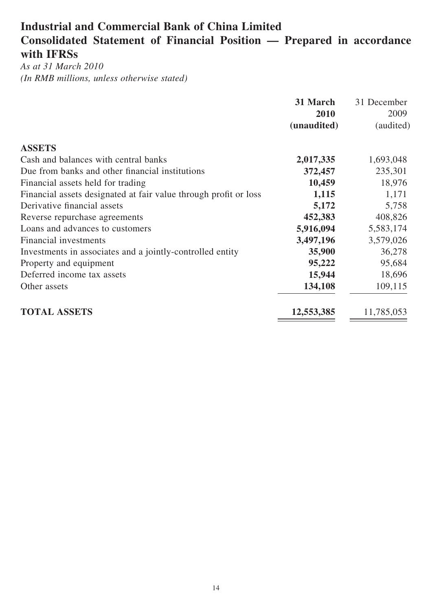## **Industrial and Commercial Bank of China Limited Consolidated Statement of Financial Position — Prepared in accordance with IFRSs**

*As at 31 March 2010 (In RMB millions, unless otherwise stated)*

|                                                                  | 31 March    | 31 December |
|------------------------------------------------------------------|-------------|-------------|
|                                                                  | 2010        | 2009        |
|                                                                  | (unaudited) | (audited)   |
| <b>ASSETS</b>                                                    |             |             |
| Cash and balances with central banks                             | 2,017,335   | 1,693,048   |
| Due from banks and other financial institutions                  | 372,457     | 235,301     |
| Financial assets held for trading                                | 10,459      | 18,976      |
| Financial assets designated at fair value through profit or loss | 1,115       | 1,171       |
| Derivative financial assets                                      | 5,172       | 5,758       |
| Reverse repurchase agreements                                    | 452,383     | 408,826     |
| Loans and advances to customers                                  | 5,916,094   | 5,583,174   |
| Financial investments                                            | 3,497,196   | 3,579,026   |
| Investments in associates and a jointly-controlled entity        | 35,900      | 36,278      |
| Property and equipment                                           | 95,222      | 95,684      |
| Deferred income tax assets                                       | 15,944      | 18,696      |
| Other assets                                                     | 134,108     | 109,115     |
| <b>TOTAL ASSETS</b>                                              | 12,553,385  | 11,785,053  |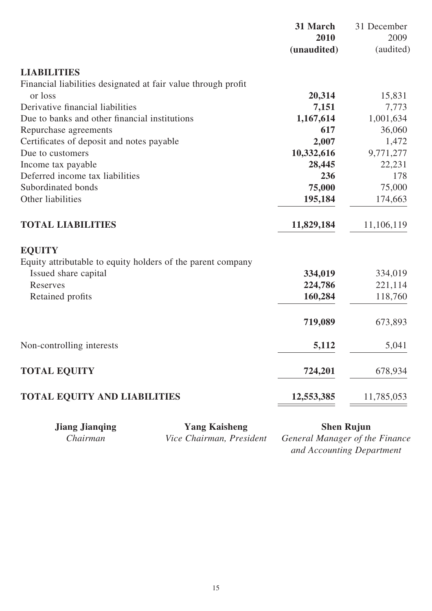|                                                               | 2010<br>(unaudited) | 31 December<br>2009<br>(audited) |
|---------------------------------------------------------------|---------------------|----------------------------------|
| <b>LIABILITIES</b>                                            |                     |                                  |
| Financial liabilities designated at fair value through profit |                     |                                  |
| or loss                                                       | 20,314              | 15,831                           |
| Derivative financial liabilities                              | 7,151               | 7,773                            |
| Due to banks and other financial institutions                 | 1,167,614           | 1,001,634                        |
| Repurchase agreements                                         | 617                 | 36,060                           |
| Certificates of deposit and notes payable                     | 2,007               | 1,472                            |
| Due to customers                                              | 10,332,616          | 9,771,277                        |
| Income tax payable                                            | 28,445              | 22,231                           |
| Deferred income tax liabilities                               | 236                 | 178                              |
| Subordinated bonds                                            | 75,000              | 75,000                           |
| Other liabilities                                             | 195,184             | 174,663                          |
| <b>TOTAL LIABILITIES</b>                                      | 11,829,184          | 11,106,119                       |
| <b>EQUITY</b>                                                 |                     |                                  |
| Equity attributable to equity holders of the parent company   |                     |                                  |
| Issued share capital                                          | 334,019             | 334,019                          |
| Reserves                                                      | 224,786             | 221,114                          |
| Retained profits                                              | 160,284             | 118,760                          |
|                                                               | 719,089             | 673,893                          |
| Non-controlling interests                                     | 5,112               | 5,041                            |
| <b>TOTAL EQUITY</b>                                           | 724,201             | 678,934                          |
| <b>TOTAL EQUITY AND LIABILITIES</b>                           | 12,553,385          | 11,785,053                       |

**Jiang Jianqing Yang Kaisheng**<br>Chairman Vice Chairman, President

**Chairman Chairman Chairman Chairman Chairman Chairman Chairman Chairman Chairman Chairman Chairman Chairman Chairman** Chairman Chairman Chairman Chairman Chairman Chairman Chairman Chairman Chairman Chairman Chairman Chai *and Accounting Department*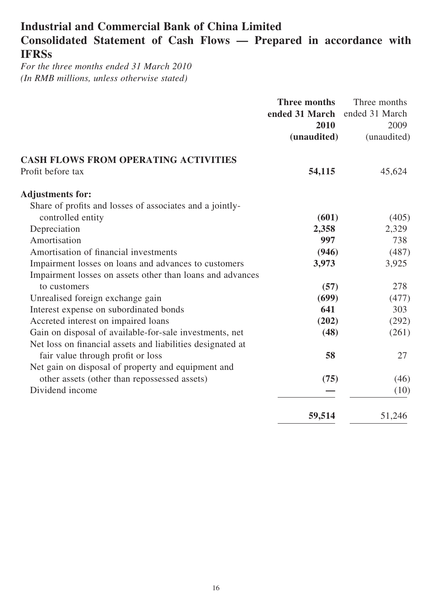## **Industrial and Commercial Bank of China Limited Consolidated Statement of Cash Flows — Prepared in accordance with IFRSs**

*For the three months ended 31 March 2010 (In RMB millions, unless otherwise stated)*

|                                                            | <b>Three months</b> | Three months   |
|------------------------------------------------------------|---------------------|----------------|
|                                                            | ended 31 March      | ended 31 March |
|                                                            | 2010                | 2009           |
|                                                            | (unaudited)         | (unaudited)    |
| <b>CASH FLOWS FROM OPERATING ACTIVITIES</b>                |                     |                |
| Profit before tax                                          | 54,115              | 45,624         |
| <b>Adjustments for:</b>                                    |                     |                |
| Share of profits and losses of associates and a jointly-   |                     |                |
| controlled entity                                          | (601)               | (405)          |
| Depreciation                                               | 2,358               | 2,329          |
| Amortisation                                               | 997                 | 738            |
| Amortisation of financial investments                      | (946)               | (487)          |
| Impairment losses on loans and advances to customers       | 3,973               | 3,925          |
| Impairment losses on assets other than loans and advances  |                     |                |
| to customers                                               | (57)                | 278            |
| Unrealised foreign exchange gain                           | (699)               | (477)          |
| Interest expense on subordinated bonds                     | 641                 | 303            |
| Accreted interest on impaired loans                        | (202)               | (292)          |
| Gain on disposal of available-for-sale investments, net    | (48)                | (261)          |
| Net loss on financial assets and liabilities designated at |                     |                |
| fair value through profit or loss                          | 58                  | 27             |
| Net gain on disposal of property and equipment and         |                     |                |
| other assets (other than repossessed assets)               | (75)                | (46)           |
| Dividend income                                            |                     | (10)           |
|                                                            | 59,514              | 51,246         |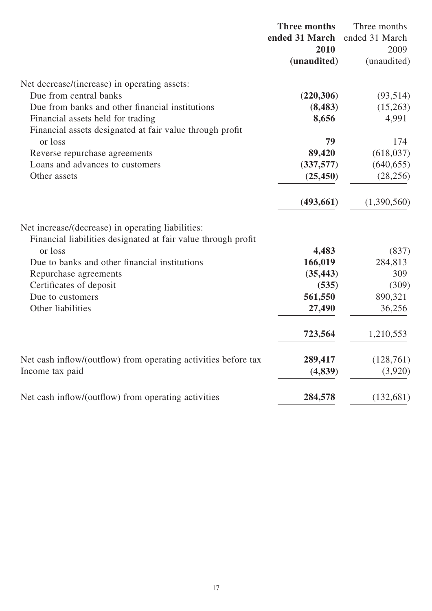|                                                                | <b>Three months</b> | Three months   |
|----------------------------------------------------------------|---------------------|----------------|
|                                                                | ended 31 March      | ended 31 March |
|                                                                | 2010                | 2009           |
|                                                                | (unaudited)         | (unaudited)    |
| Net decrease/(increase) in operating assets:                   |                     |                |
| Due from central banks                                         | (220, 306)          | (93,514)       |
| Due from banks and other financial institutions                | (8, 483)            | (15,263)       |
| Financial assets held for trading                              | 8,656               | 4,991          |
| Financial assets designated at fair value through profit       |                     |                |
| or loss                                                        | 79                  | 174            |
| Reverse repurchase agreements                                  | 89,420              | (618, 037)     |
| Loans and advances to customers                                | (337,577)           | (640, 655)     |
| Other assets                                                   | (25, 450)           | (28, 256)      |
|                                                                | (493, 661)          | (1,390,560)    |
| Net increase/(decrease) in operating liabilities:              |                     |                |
| Financial liabilities designated at fair value through profit  |                     |                |
| or loss                                                        | 4,483               | (837)          |
| Due to banks and other financial institutions                  | 166,019             | 284,813        |
| Repurchase agreements                                          | (35, 443)           | 309            |
| Certificates of deposit                                        | (535)               | (309)          |
| Due to customers                                               | 561,550             | 890,321        |
| Other liabilities                                              | 27,490              | 36,256         |
|                                                                | 723,564             | 1,210,553      |
| Net cash inflow/(outflow) from operating activities before tax | 289,417             | (128,761)      |
| Income tax paid                                                | (4,839)             | (3,920)        |
| Net cash inflow/(outflow) from operating activities            | 284,578             | (132,681)      |